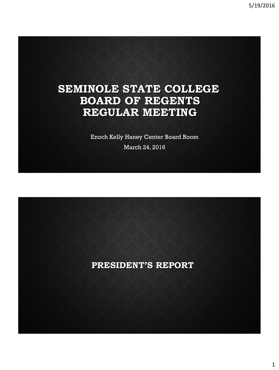# **SEMINOLE STATE COLLEGE BOARD OF REGENTS REGULAR MEETING**

Enoch Kelly Haney Center Board Room

March 24, 2016

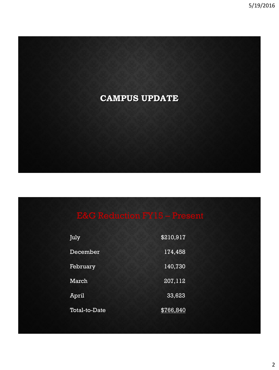

| July                 | \$210,917 |
|----------------------|-----------|
| December             | 174,458   |
| February             | 140,730   |
| March                | 207, 112  |
| April                | 33,623    |
| <b>Total-to-Date</b> | \$766,840 |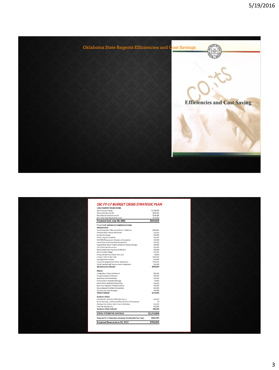

| <b>CASH RESERVE PROJECTIONS</b>                                 |                       |
|-----------------------------------------------------------------|-----------------------|
| Cash (February Ending)                                          | \$1,238,925           |
| Minus Cuts (Feb-June 30)                                        | $-5585,000$           |
| Minus Normal Drop Feb-June 30                                   | $-5470,000$           |
| Net Current Year Adiustments / Cuts                             | \$150,000             |
| Projected Cash June 30, 2016                                    | \$333,925             |
|                                                                 |                       |
| FY-17 COST SAVING RECOMMENDATIONS                               |                       |
| <b>Administrative</b>                                           |                       |
| One Furlough Day / Month (Last Resort - 8 Months)               | \$160,000             |
| Eliminate WISS Financial Aid Services                           | \$20,000              |
| <b>Scholarship Changes</b>                                      | \$50,000              |
| Cancel Long Term Disability                                     | \$30,000              |
| Shift RBRC/Advancement Assistant to Foundation                  | \$16,000              |
| Cancel Most Cell Phones & Reimbursements                        | \$15,000              |
| Suspend Book Rental Program & Restrict Textbook Changes         | \$30,000              |
| Limit Tuition Reimbursement                                     | \$10,000              |
| Reduce Health Care Insurance to Mid Level                       | \$30,000              |
| <b>Reduce Student Wages</b>                                     | \$20,000              |
| Increase Rental Fees (Haney; Pool; etc.)                        | \$8,000               |
| Increase Tuition & Fees 9.9%                                    | \$340,000             |
| Fees Approved in January                                        | \$10,000              |
|                                                                 |                       |
| Internal Re-assignments & Admin Retirements                     | \$200,000<br>\$15,000 |
| Prof & Classified Staff Teach as Part of Assignment             |                       |
| <b>Administrative Subtotal</b>                                  | \$939,000             |
| <b>Athletic</b>                                                 |                       |
| Change Men's Tennis to Division II                              | \$80,000              |
| Change Volleyball to Division II                                | \$60,000              |
| Restructure Golf Scholarships                                   | \$14,000              |
| Eliminate Men's Basketball Manager                              | \$5,000               |
| Reduce Men's Basketball Scholarships                            | \$20,000              |
| Restructure Baseball / Softball Coaching                        | \$25,000              |
| Reduce Baseball & Softball Scholarships                         | \$30,000              |
| Eliminate two other Managers                                    | \$10,000              |
| <b>Athletic Subtotal</b>                                        | \$244,000             |
|                                                                 |                       |
| <b>Academic Affairs</b>                                         |                       |
| Eliminate MLT (8-31-16; \$140K after Year-1)                    | \$60,000              |
| Art 3/4 Teaching ; 1/4 Financial Affairs (A.Church Volunteered) | \$0                   |
| Eliminate One Division Chair & Two Coordinators                 | \$10,000              |
| Teach AG with Adjuncts                                          | \$20,000              |
| <b>Academic Affairs Subtotal</b>                                | \$90,000              |
| <b>TOTAL POTENTIAL SAVINGS</b>                                  | \$1,273,000           |
| Projected FY-17 Reductions (Includes Possible Mid-Year Cuts)    | \$900,000             |
| Projected Reserve June 30, 2017                                 | \$706,925             |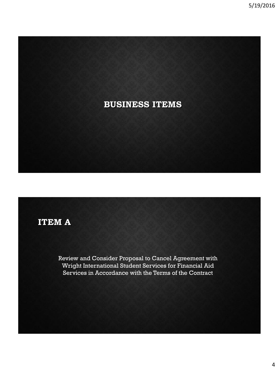

# **ITEM A**

Review and Consider Proposal to Cancel Agreement with Wright International Student Services for Financial Aid Services in Accordance with the Terms of the Contract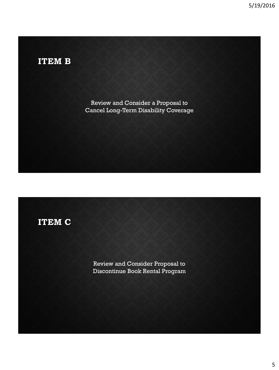# **ITEM B**

Review and Consider a Proposal to Cancel Long-Term Disability Coverage

# **ITEM C**

Review and Consider Proposal to Discontinue Book Rental Program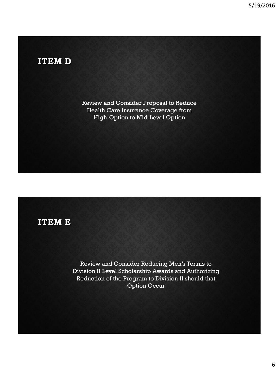## **ITEM D**

Review and Consider Proposal to Reduce Health Care Insurance Coverage from High-Option to Mid-Level Option

#### **ITEM E**

Review and Consider Reducing Men's Tennis to Division II Level Scholarship Awards and Authorizing Reduction of the Program to Division II should that Option Occur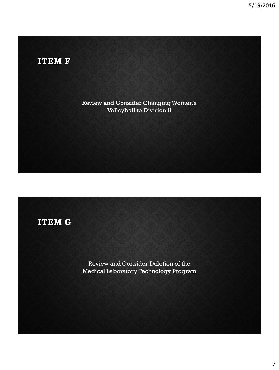# **ITEM F**

Review and Consider Changing Women's Volleyball to Division II

# **ITEM G**

Review and Consider Deletion of the Medical Laboratory Technology Program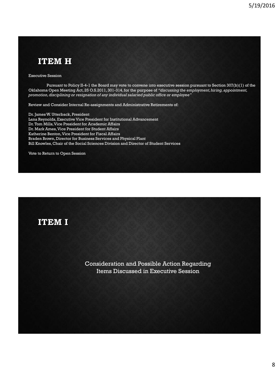### **ITEM H**

Executive Session

Pursuant to Policy II-4-1 the Board may vote to convene into executive session pursuant to Section 307(b)(1) of the Oklahoma Open Meeting Act, 25 O.S.2011, 301-314, for the purpose of *"discussing the employment, hiring, appointment, promotion, disciplining or resignation of any individual salaried public office or employee"*

Review and Consider Internal Re-assignments and Administrative Retirements of:

Dr. James W. Utterback, President Lana Reynolds, Executive Vice President for Institutional Advancement Dr. Tom Mills, Vice President for Academic Affairs Dr. Mark Ames, Vice President for Student Affairs Katherine Benton, Vice President for Fiscal Affairs Braden Brown, Director for Business Services and Physical Plant Bill Knowles, Chair of the Social Sciences Division and Director of Student Services

Vote to Return to Open Session

**ITEM I**

Consideration and Possible Action Regarding Items Discussed in Executive Session